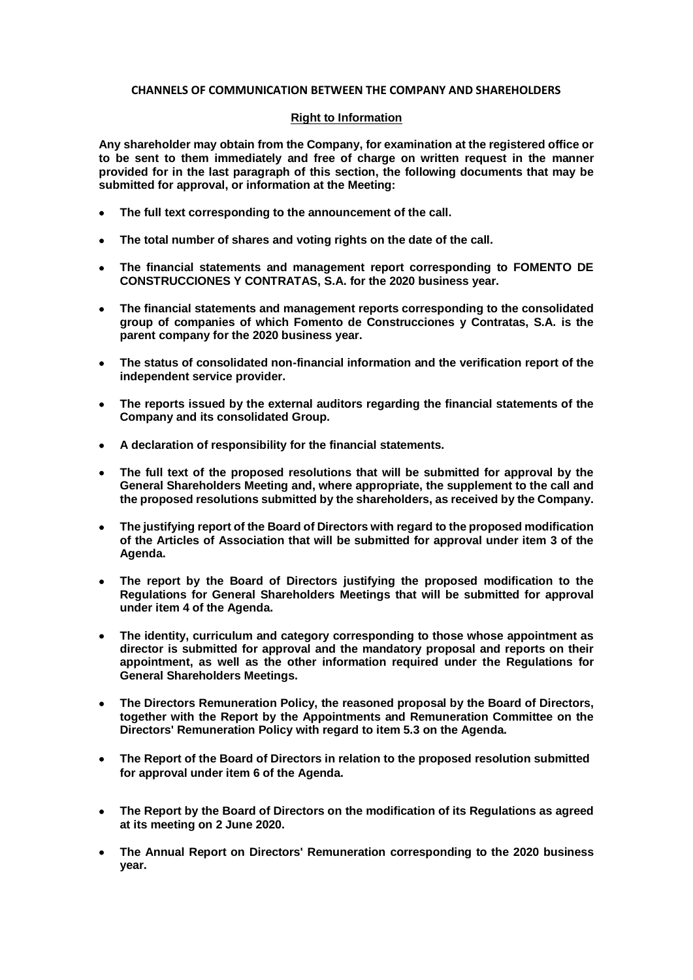## **CHANNELS OF COMMUNICATION BETWEEN THE COMPANY AND SHAREHOLDERS**

## **Right to Information**

**Any shareholder may obtain from the Company, for examination at the registered office or to be sent to them immediately and free of charge on written request in the manner provided for in the last paragraph of this section, the following documents that may be submitted for approval, or information at the Meeting:**

- **The full text corresponding to the announcement of the call.**
- **The total number of shares and voting rights on the date of the call.**
- **The financial statements and management report corresponding to FOMENTO DE CONSTRUCCIONES Y CONTRATAS, S.A. for the 2020 business year.**
- **The financial statements and management reports corresponding to the consolidated group of companies of which Fomento de Construcciones y Contratas, S.A. is the parent company for the 2020 business year.**
- **The status of consolidated non-financial information and the verification report of the independent service provider.**
- **The reports issued by the external auditors regarding the financial statements of the Company and its consolidated Group.**
- **A declaration of responsibility for the financial statements.**
- **The full text of the proposed resolutions that will be submitted for approval by the General Shareholders Meeting and, where appropriate, the supplement to the call and the proposed resolutions submitted by the shareholders, as received by the Company.**
- **The justifying report of the Board of Directors with regard to the proposed modification of the Articles of Association that will be submitted for approval under item 3 of the Agenda.**
- **The report by the Board of Directors justifying the proposed modification to the Regulations for General Shareholders Meetings that will be submitted for approval under item 4 of the Agenda.**
- **The identity, curriculum and category corresponding to those whose appointment as director is submitted for approval and the mandatory proposal and reports on their appointment, as well as the other information required under the Regulations for General Shareholders Meetings.**
- **The Directors Remuneration Policy, the reasoned proposal by the Board of Directors, together with the Report by the Appointments and Remuneration Committee on the Directors' Remuneration Policy with regard to item 5.3 on the Agenda.**
- **The Report of the Board of Directors in relation to the proposed resolution submitted for approval under item 6 of the Agenda.**
- **The Report by the Board of Directors on the modification of its Regulations as agreed at its meeting on 2 June 2020.**
- **The Annual Report on Directors' Remuneration corresponding to the 2020 business year.**